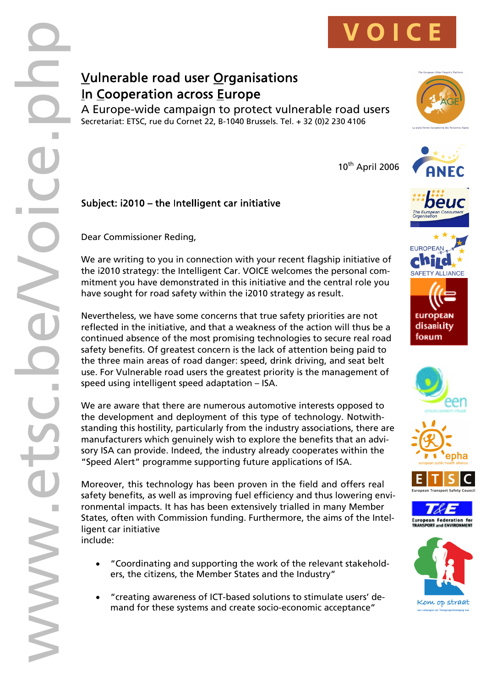

## **Vulnerable road user Organisations In Cooperation across Europe**

A Europe-wide campaign to protect vulnerable road users Secretariat: ETSC, rue du Cornet 22, B-1040 Brussels. Tel. + 32 (0)2 230 4106



 $10^{th}$  April 2006













Subject: i2010 - the Intelligent car initiative

Dear Commissioner Reding,

We are writing to you in connection with your recent flagship initiative of the i2010 strategy: the Intelligent Car. VOICE welcomes the personal com mitment you have demonstrated in this initiative and the central role you have sought for road safety within the i2010 strategy as result.

Nevertheless, we have some concerns that true safety priorities are not reflected in the initiative, and that a weakness of the action will thus be a continued absence of the most promising technologies to secure real road safety benefits. Of greatest concern is the lack of attention being paid to the three main areas of road danger: speed, drink driving, and seat belt use. For Vulnerable road users the greatest priority is the management of speed using intelligent speed adaptation – ISA.

We are aware that there are numerous automotive interests opposed to the development and deployment of this type of technology. Notwith standing this hostility, particularly from the industry associations, there are manufacturers which genuinely wish to explore the benefits that an advi sory ISA can provide. Indeed, the industry already cooperates within the "Speed Alert" programme supporting future applications of ISA.

Moreover, this technology has been proven in the field and offers real safety benefits, as well as improving fuel efficiency and thus lowering envi ronmental impacts. It has has been extensively trialled in many Member States, often with Commission funding. Furthermore, the aims of the Intel ligent car initiative include:

- · "Coordinating and supporting the work of the relevant stakehold ers, the citizens, the Member States and the Industry"
- · "creating awareness of ICT-based solutions to stimulate users' de mand for these systems and create socio-economic acceptance"